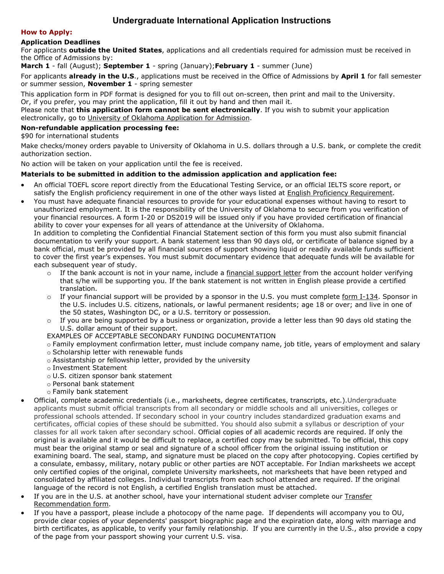# **Undergraduate International Application Instructions**

### **How to Apply:**

# **Application Deadlines**

For applicants **outside the United States**, applications and all credentials required for admission must be received in the Office of Admissions by:

**March 1** - fall (August); **September 1** - spring (January);**February 1** - summer (June)

For applicants **already in the U.S**., applications must be received in the Office of Admissions by **April 1** for fall semester or summer session, **November 1** - spring semester

This application form in PDF format is designed for you to fill out on-screen, then print and mail to the University. Or, if you prefer, you may print the application, fill it out by hand and then mail it.

Please note that **this application form cannot be sent electronically**. If you wish to submit your application electronically, go to [University of Oklahoma Application for Admission.](https://ssb.ou.edu/pls/PROD/bwskalog.P_DispLoginNon)

# **Non-refundable application processing fee:**

\$90 for international students

Make checks/money orders payable to University of Oklahoma in U.S. dollars through a U.S. bank, or complete the credit authorization section.

No action will be taken on your application until the fee is received.

### **Materials to be submitted in addition to the admission application and application fee:**

- An official TOEFL score report directly from the Educational Testing Service, or an official IELTS score report, or satisfy the English proficiency requirement in one of the other ways listed at [English Proficiency Requirement.](http://www.ou.edu/content/admissions/home/requirements/international.html#english)
- You must have adequate financial resources to provide for your educational expenses without having to resort to unauthorized employment. It is the responsibility of the University of Oklahoma to secure from you verification of your financial resources. A form I-20 or DS2019 will be issued only if you have provided certification of financial ability to cover your expenses for all years of attendance at the University of Oklahoma.

In addition to completing the Confidential Financial Statement section of this form you must also submit financial documentation to verify your support. A bank statement less than 90 days old, or certificate of balance signed by a bank official, must be provided by all financial sources of support showing liquid or readily available funds sufficient to cover the first year's expenses. You must submit documentary evidence that adequate funds will be available for each subsequent year of study.

- $\circ$  If the bank account is not in your name, include a [financial support letter](http://catalog.ou.edu/Applications/Admissions/FSL.pdf) from the account holder verifying that s/he will be supporting you. If the bank statement is not written in English please provide a certified translation.
- $\circ$  If your financial support will be provided by a sponsor in the U.S. you must complete [form I-134.](http://www.uscis.gov/files/form/i-134.pdf) Sponsor in the U.S. includes U.S. citizens, nationals, or lawful permanent residents; age 18 or over; and live in one of the 50 states, Washington DC, or a U.S. territory or possession.
- $\circ$  If you are being supported by a business or organization, provide a letter less than 90 days old stating the U.S. dollar amount of their support.

### EXAMPLES OF ACCEPTABLE SECONDARY FUNDING DOCUMENTATION

o Family employment confirmation letter, must include company name, job title, years of employment and salary

- o Scholarship letter with renewable funds
- o Assistantship or fellowship letter, provided by the university
- o Investment Statement
- o U.S. citizen sponsor bank statement
- o Personal bank statement
- o Family bank statement
- Official, complete academic credentials (i.e., marksheets, degree certificates, transcripts, etc.).Undergraduate applicants must submit official transcripts from all secondary or middle schools and all universities, colleges or professional schools attended. If secondary school in your country includes standardized graduation exams and certificates, official copies of these should be submitted. You should also submit a syllabus or description of your classes for all work taken after secondary school. Official copies of all academic records are required. If only the original is available and it would be difficult to replace, a certified copy may be submitted. To be official, this copy must bear the original stamp or seal and signature of a school officer from the original issuing institution or examining board. The seal, stamp, and signature must be placed on the copy after photocopying. Copies certified by a consulate, embassy, military, notary public or other parties are NOT acceptable. For Indian marksheets we accept only certified copies of the original, complete University marksheets, not marksheets that have been retyped and consolidated by affiliated colleges. Individual transcripts from each school attended are required. If the original language of the record is not English, a certified English translation must be attached.
- If you are in the U.S. at another school, have your international student adviser complete our Transfer [Recommendation form.](http://www.ou.edu/content/cis/iss/forms_and_handouts/forms_amp_docs.html)
- If you have a passport, please include a photocopy of the name page. If dependents will accompany you to OU, provide clear copies of your dependents' passport biographic page and the expiration date, along with marriage and birth certificates, as applicable, to verify your family relationship. If you are currently in the U.S., also provide a copy of the page from your passport showing your current U.S. visa.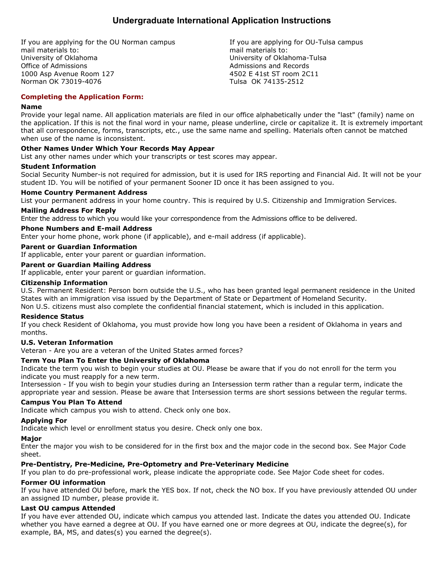# **Undergraduate International Application Instructions**

If you are applying for the OU Norman campus mail materials to: University of Oklahoma Office of Admissions 1000 Asp Avenue Room 127 Norman OK 73019-4076

If you are applying for OU-Tulsa campus mail materials to: University of Oklahoma-Tulsa Admissions and Records 4502 E 41st ST room 2C11 Tulsa OK 74135-2512

# **Completing the Application Form:**

### **Name**

Provide your legal name. All application materials are filed in our office alphabetically under the "last" (family) name on the application. If this is not the final word in your name, please underline, circle or capitalize it. It is extremely important that all correspondence, forms, transcripts, etc., use the same name and spelling. Materials often cannot be matched when use of the name is inconsistent.

# **Other Names Under Which Your Records May Appear**

List any other names under which your transcripts or test scores may appear.

### **Student Information**

Social Security Number-is not required for admission, but it is used for IRS reporting and Financial Aid. It will not be your student ID. You will be notified of your permanent Sooner ID once it has been assigned to you.

# **Home Country Permanent Address**

List your permanent address in your home country. This is required by U.S. Citizenship and Immigration Services.

### **Mailing Address For Reply**

Enter the address to which you would like your correspondence from the Admissions office to be delivered.

### **Phone Numbers and E-mail Address**

Enter your home phone, work phone (if applicable), and e-mail address (if applicable).

# **Parent or Guardian Information**

If applicable, enter your parent or guardian information.

### **Parent or Guardian Mailing Address**

If applicable, enter your parent or guardian information.

### **Citizenship Information**

U.S. Permanent Resident: Person born outside the U.S., who has been granted legal permanent residence in the United States with an immigration visa issued by the Department of State or Department of Homeland Security. Non U.S. citizens must also complete the confidential financial statement, which is included in this application.

### **Residence Status**

If you check Resident of Oklahoma, you must provide how long you have been a resident of Oklahoma in years and months.

### **U.S. Veteran Information**

Veteran - Are you are a veteran of the United States armed forces?

### **Term You Plan To Enter the University of Oklahoma**

Indicate the term you wish to begin your studies at OU. Please be aware that if you do not enroll for the term you indicate you must reapply for a new term.

Intersession - If you wish to begin your studies during an Intersession term rather than a regular term, indicate the appropriate year and session. Please be aware that Intersession terms are short sessions between the regular terms.

### **Campus You Plan To Attend**

Indicate which campus you wish to attend. Check only one box.

### **Applying For**

Indicate which level or enrollment status you desire. Check only one box.

### **Major**

Enter the major you wish to be considered for in the first box and the major code in the second box. See Major Code sheet.

### **Pre-Dentistry, Pre-Medicine, Pre-Optometry and Pre-Veterinary Medicine**

If you plan to do pre-professional work, please indicate the appropriate code. See Major Code sheet for codes.

### **Former OU information**

If you have attended OU before, mark the YES box. If not, check the NO box. If you have previously attended OU under an assigned ID number, please provide it.

# **Last OU campus Attended**

If you have ever attended OU, indicate which campus you attended last. Indicate the dates you attended OU. Indicate whether you have earned a degree at OU. If you have earned one or more degrees at OU, indicate the degree(s), for example, BA, MS, and dates(s) you earned the degree(s).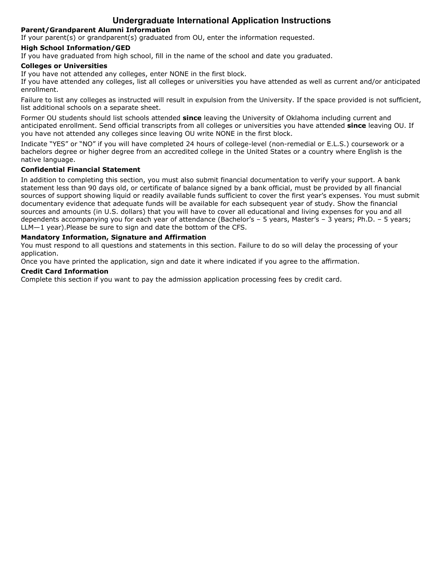# **Undergraduate International Application Instructions**

# **Parent/Grandparent Alumni Information**

If your parent(s) or grandparent(s) graduated from OU, enter the information requested.

# **High School Information/GED**

If you have graduated from high school, fill in the name of the school and date you graduated.

# **Colleges or Universities**

If you have not attended any colleges, enter NONE in the first block.

If you have attended any colleges, list all colleges or universities you have attended as well as current and/or anticipated enrollment.

Failure to list any colleges as instructed will result in expulsion from the University. If the space provided is not sufficient, list additional schools on a separate sheet.

Former OU students should list schools attended **since** leaving the University of Oklahoma including current and anticipated enrollment. Send official transcripts from all colleges or universities you have attended **since** leaving OU. If you have not attended any colleges since leaving OU write NONE in the first block.

Indicate "YES" or "NO" if you will have completed 24 hours of college-level (non-remedial or E.L.S.) coursework or a bachelors degree or higher degree from an accredited college in the United States or a country where English is the native language.

# **Confidential Financial Statement**

In addition to completing this section, you must also submit financial documentation to verify your support. A bank statement less than 90 days old, or certificate of balance signed by a bank official, must be provided by all financial sources of support showing liquid or readily available funds sufficient to cover the first year's expenses. You must submit documentary evidence that adequate funds will be available for each subsequent year of study. Show the financial sources and amounts (in U.S. dollars) that you will have to cover all educational and living expenses for you and all dependents accompanying you for each year of attendance (Bachelor's – 5 years, Master's – 3 years; Ph.D. – 5 years; LLM—1 year).Please be sure to sign and date the bottom of the CFS.

# **Mandatory Information, Signature and Affirmation**

You must respond to all questions and statements in this section. Failure to do so will delay the processing of your application.

Once you have printed the application, sign and date it where indicated if you agree to the affirmation.

### **Credit Card Information**

Complete this section if you want to pay the admission application processing fees by credit card.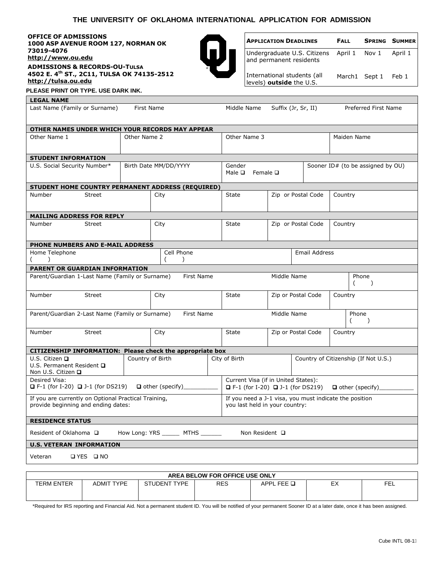# **THE UNIVERSITY OF OKLAHOMA INTERNATIONAL APPLICATION FOR ADMISSION**

**OFFICE OF ADMISSIONS 1000 ASP AVENUE ROOM 127, NORMAN OK 73019-4076 [http://www.ou.edu](http://www.ou.edu/) ADMISSIONS & RECORDS-OU-TULSA 4502 E. 4th ST., 2C11, TULSA OK 74135-2512 [http://tulsa.ou.edu](http://tulsa.ou.edu/)**



| <b>APPLICATION DEADLINES</b>                                         | FALL |                     | <b>SPRING SUMMER</b> |
|----------------------------------------------------------------------|------|---------------------|----------------------|
| Undergraduate U.S. Citizens April 1 Nov 1<br>and permanent residents |      |                     | April 1              |
| International students (all<br>levels) outside the U.S.              |      | March1 Sept 1 Feb 1 |                      |

**PLEASE PRINT OR TYPE. USE DARK INK.** 

**LEGAL NAME**

| Last Name (Family or Surname)                                                               | First Name       |                              | Middle Name                                                                                                |             | Suffix (Jr, Sr, II) |         | Preferred First Name                 |
|---------------------------------------------------------------------------------------------|------------------|------------------------------|------------------------------------------------------------------------------------------------------------|-------------|---------------------|---------|--------------------------------------|
| OTHER NAMES UNDER WHICH YOUR RECORDS MAY APPEAR                                             |                  |                              |                                                                                                            |             |                     |         |                                      |
| Other Name 1                                                                                | Other Name 2     |                              | Other Name 3                                                                                               |             |                     |         | Maiden Name                          |
| <b>STUDENT INFORMATION</b>                                                                  |                  |                              |                                                                                                            |             |                     |         |                                      |
| U.S. Social Security Number*                                                                |                  | Birth Date MM/DD/YYYY        | Gender<br>Male $\square$<br>Female <b>□</b>                                                                |             |                     |         | Sooner ID# (to be assigned by OU)    |
| STUDENT HOME COUNTRY PERMANENT ADDRESS (REQUIRED)                                           |                  |                              |                                                                                                            |             |                     |         |                                      |
| Number<br><b>Street</b>                                                                     |                  | City                         | State                                                                                                      |             | Zip or Postal Code  | Country |                                      |
| <b>MAILING ADDRESS FOR REPLY</b>                                                            |                  |                              |                                                                                                            |             |                     |         |                                      |
| Number<br><b>Street</b>                                                                     |                  | City                         | <b>State</b>                                                                                               |             | Zip or Postal Code  | Country |                                      |
| PHONE NUMBERS AND E-MAIL ADDRESS                                                            |                  |                              |                                                                                                            |             |                     |         |                                      |
| Home Telephone                                                                              |                  | Cell Phone<br>(<br>$\lambda$ |                                                                                                            |             | Email Address       |         |                                      |
| PARENT OR GUARDIAN INFORMATION                                                              |                  |                              |                                                                                                            |             |                     |         |                                      |
| Parent/Guardian 1-Last Name (Family or Surname)                                             |                  | First Name                   |                                                                                                            | Middle Name |                     |         | Phone<br>$\lambda$                   |
| Number<br><b>Street</b>                                                                     |                  | City                         | State                                                                                                      |             | Zip or Postal Code  | Country |                                      |
| Parent/Guardian 2-Last Name (Family or Surname)                                             |                  | First Name                   |                                                                                                            | Middle Name |                     |         | Phone<br>$\lambda$<br>(              |
| Number<br><b>Street</b>                                                                     |                  | City                         | <b>State</b>                                                                                               |             | Zip or Postal Code  | Country |                                      |
| CITIZENSHIP INFORMATION: Please check the appropriate box                                   |                  |                              |                                                                                                            |             |                     |         |                                      |
| U.S. Citizen Q<br>U.S. Permanent Resident Q<br>Non U.S. Citizen <b>□</b>                    | Country of Birth |                              | City of Birth                                                                                              |             |                     |         | Country of Citizenship (If Not U.S.) |
| Desired Visa:<br>$\Box$ F-1 (for I-20) $\Box$ J-1 (for DS219)                               |                  | $\Box$ other (specify)       | Current Visa (if in United States):<br>$\Box$ F-1 (for I-20) $\Box$ J-1 (for DS219) $\Box$ other (specify) |             |                     |         |                                      |
| If you are currently on Optional Practical Training,<br>provide beginning and ending dates: |                  |                              | If you need a J-1 visa, you must indicate the position<br>you last held in your country:                   |             |                     |         |                                      |
| <b>RESIDENCE STATUS</b>                                                                     |                  |                              |                                                                                                            |             |                     |         |                                      |
| Resident of Oklahoma □                                                                      |                  | How Long: YRS MTHS           | Non Resident □                                                                                             |             |                     |         |                                      |
| <b>U.S. VETERAN INFORMATION</b>                                                             |                  |                              |                                                                                                            |             |                     |         |                                      |
| □ YES □ NO<br>Veteran                                                                       |                  |                              |                                                                                                            |             |                     |         |                                      |
|                                                                                             |                  |                              |                                                                                                            |             |                     |         |                                      |
|                                                                                             |                  |                              | AREA BELOW FOR OFFICE USE ONLY                                                                             |             |                     |         |                                      |

\*Required for IRS reporting and Financial Aid. Not a permanent student ID. You will be notified of your permanent Sooner ID at a later date, once it has been assigned.

TERM ENTER ADMIT TYPE STUDENT TYPE RES APPL FEE THE REST ARE REST APPL FELT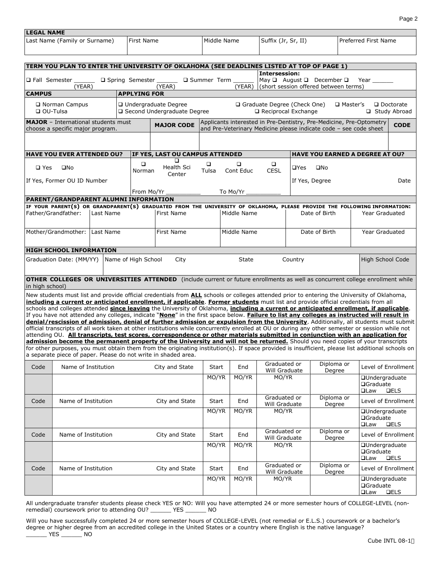| <b>LEGAL NAME</b> |                                                                                |                     |                     |                                                                                                                                                                                                                                                                                                                                                                                                                                                                                                                                                                                                                                                                                                                                                                                                                                                                                                                                                                                                                                                                                                                                                                                                                                                                                               |               |             |                               |                                                                                                                                          |                      |                                                          |                                    |
|-------------------|--------------------------------------------------------------------------------|---------------------|---------------------|-----------------------------------------------------------------------------------------------------------------------------------------------------------------------------------------------------------------------------------------------------------------------------------------------------------------------------------------------------------------------------------------------------------------------------------------------------------------------------------------------------------------------------------------------------------------------------------------------------------------------------------------------------------------------------------------------------------------------------------------------------------------------------------------------------------------------------------------------------------------------------------------------------------------------------------------------------------------------------------------------------------------------------------------------------------------------------------------------------------------------------------------------------------------------------------------------------------------------------------------------------------------------------------------------|---------------|-------------|-------------------------------|------------------------------------------------------------------------------------------------------------------------------------------|----------------------|----------------------------------------------------------|------------------------------------|
|                   | Last Name (Family or Surname)                                                  |                     | First Name          |                                                                                                                                                                                                                                                                                                                                                                                                                                                                                                                                                                                                                                                                                                                                                                                                                                                                                                                                                                                                                                                                                                                                                                                                                                                                                               | Middle Name   |             | Suffix (Jr, Sr, II)           |                                                                                                                                          |                      | Preferred First Name                                     |                                    |
|                   |                                                                                |                     |                     |                                                                                                                                                                                                                                                                                                                                                                                                                                                                                                                                                                                                                                                                                                                                                                                                                                                                                                                                                                                                                                                                                                                                                                                                                                                                                               |               |             |                               |                                                                                                                                          |                      |                                                          |                                    |
|                   |                                                                                |                     |                     | TERM YOU PLAN TO ENTER THE UNIVERSITY OF OKLAHOMA (SEE DEADLINES LISTED AT TOP OF PAGE 1)                                                                                                                                                                                                                                                                                                                                                                                                                                                                                                                                                                                                                                                                                                                                                                                                                                                                                                                                                                                                                                                                                                                                                                                                     |               |             |                               |                                                                                                                                          |                      |                                                          |                                    |
| □ Fall Semester   | (YEAR)                                                                         | □ Spring Semester   |                     | (YEAR)                                                                                                                                                                                                                                                                                                                                                                                                                                                                                                                                                                                                                                                                                                                                                                                                                                                                                                                                                                                                                                                                                                                                                                                                                                                                                        | □ Summer Term | (YEAR)      | Intersession:                 | May $\Box$ August $\Box$ December $\Box$<br>(short session offered between terms)                                                        |                      | Year                                                     |                                    |
| <b>CAMPUS</b>     |                                                                                |                     | <b>APPLYING FOR</b> |                                                                                                                                                                                                                                                                                                                                                                                                                                                                                                                                                                                                                                                                                                                                                                                                                                                                                                                                                                                                                                                                                                                                                                                                                                                                                               |               |             |                               |                                                                                                                                          |                      |                                                          |                                    |
|                   | □ Norman Campus<br>$\Box$ OU-Tulsa                                             |                     |                     | □ Undergraduate Degree<br>□ Second Undergraduate Degree                                                                                                                                                                                                                                                                                                                                                                                                                                                                                                                                                                                                                                                                                                                                                                                                                                                                                                                                                                                                                                                                                                                                                                                                                                       |               |             | $\Box$ Reciprocal Exchange    | □ Graduate Degree (Check One)                                                                                                            | □ Master's           |                                                          | $\Box$ Doctorate<br>□ Study Abroad |
|                   | <b>MAJOR</b> - International students must<br>choose a specific major program. |                     |                     | <b>MAJOR CODE</b>                                                                                                                                                                                                                                                                                                                                                                                                                                                                                                                                                                                                                                                                                                                                                                                                                                                                                                                                                                                                                                                                                                                                                                                                                                                                             |               |             |                               | Applicants interested in Pre-Dentistry, Pre-Medicine, Pre-Optometry<br>and Pre-Veterinary Medicine please indicate code - see code sheet |                      |                                                          | <b>CODE</b>                        |
|                   |                                                                                |                     |                     |                                                                                                                                                                                                                                                                                                                                                                                                                                                                                                                                                                                                                                                                                                                                                                                                                                                                                                                                                                                                                                                                                                                                                                                                                                                                                               |               |             |                               |                                                                                                                                          |                      |                                                          |                                    |
|                   | <b>HAVE YOU EVER ATTENDED OU?</b>                                              |                     |                     | IF YES, LAST OU CAMPUS ATTENDED                                                                                                                                                                                                                                                                                                                                                                                                                                                                                                                                                                                                                                                                                                                                                                                                                                                                                                                                                                                                                                                                                                                                                                                                                                                               |               |             |                               | <b>HAVE YOU EARNED A DEGREE AT OU?</b>                                                                                                   |                      |                                                          |                                    |
|                   |                                                                                |                     | □                   | □                                                                                                                                                                                                                                                                                                                                                                                                                                                                                                                                                                                                                                                                                                                                                                                                                                                                                                                                                                                                                                                                                                                                                                                                                                                                                             | □             | $\Box$      | $\Box$                        |                                                                                                                                          |                      |                                                          |                                    |
| $\square$ Yes     | $\square$ No                                                                   |                     | Norman              | Health Sci<br>Center                                                                                                                                                                                                                                                                                                                                                                                                                                                                                                                                                                                                                                                                                                                                                                                                                                                                                                                                                                                                                                                                                                                                                                                                                                                                          | Tulsa         | Cont Educ   | <b>CESL</b>                   | ⊔Yes<br>$\square$ No                                                                                                                     |                      |                                                          |                                    |
|                   | If Yes, Former OU ID Number                                                    |                     |                     |                                                                                                                                                                                                                                                                                                                                                                                                                                                                                                                                                                                                                                                                                                                                                                                                                                                                                                                                                                                                                                                                                                                                                                                                                                                                                               |               |             |                               | If Yes, Degree                                                                                                                           |                      |                                                          | Date                               |
|                   |                                                                                |                     | From Mo/Yr          |                                                                                                                                                                                                                                                                                                                                                                                                                                                                                                                                                                                                                                                                                                                                                                                                                                                                                                                                                                                                                                                                                                                                                                                                                                                                                               |               | To Mo/Yr    |                               |                                                                                                                                          |                      |                                                          |                                    |
|                   | PARENT/GRANDPARENT ALUMNI INFORMATION                                          |                     |                     | IF YOUR PARENT(S) OR GRANDPARENT(S) GRADUATED FROM THE UNIVERSITY OF OKLAHOMA, PLEASE PROVIDE THE FOLLOWING INFORMATION:                                                                                                                                                                                                                                                                                                                                                                                                                                                                                                                                                                                                                                                                                                                                                                                                                                                                                                                                                                                                                                                                                                                                                                      |               |             |                               |                                                                                                                                          |                      |                                                          |                                    |
|                   | Father/Grandfather:                                                            | Last Name           |                     | First Name                                                                                                                                                                                                                                                                                                                                                                                                                                                                                                                                                                                                                                                                                                                                                                                                                                                                                                                                                                                                                                                                                                                                                                                                                                                                                    |               | Middle Name |                               | Date of Birth                                                                                                                            |                      | Year Graduated                                           |                                    |
|                   | Mother/Grandmother:                                                            | Last Name           |                     | First Name                                                                                                                                                                                                                                                                                                                                                                                                                                                                                                                                                                                                                                                                                                                                                                                                                                                                                                                                                                                                                                                                                                                                                                                                                                                                                    |               | Middle Name |                               | Date of Birth                                                                                                                            |                      | <b>Year Graduated</b>                                    |                                    |
|                   | <b>HIGH SCHOOL INFORMATION</b>                                                 |                     |                     |                                                                                                                                                                                                                                                                                                                                                                                                                                                                                                                                                                                                                                                                                                                                                                                                                                                                                                                                                                                                                                                                                                                                                                                                                                                                                               |               |             |                               |                                                                                                                                          |                      |                                                          |                                    |
|                   | Graduation Date: (MM/YY)                                                       | Name of High School |                     | City                                                                                                                                                                                                                                                                                                                                                                                                                                                                                                                                                                                                                                                                                                                                                                                                                                                                                                                                                                                                                                                                                                                                                                                                                                                                                          |               | State       |                               | Country                                                                                                                                  |                      | High School Code                                         |                                    |
| in high school)   |                                                                                |                     |                     | OTHER COLLEGES OR UNIVERSITIES ATTENDED (include current or future enrollments as well as concurrent college enrollment while                                                                                                                                                                                                                                                                                                                                                                                                                                                                                                                                                                                                                                                                                                                                                                                                                                                                                                                                                                                                                                                                                                                                                                 |               |             |                               |                                                                                                                                          |                      |                                                          |                                    |
|                   |                                                                                |                     |                     | New students must list and provide official credentials from ALL schools or colleges attended prior to entering the University of Oklahoma,<br>including a current or anticipated enrollment, if applicable. Former students must list and provide official credentials from all<br>schools and colleges attended since leaving the University of Oklahoma, including a current or anticipated enrollment, if applicable.<br>If you have not attended any colleges, indicate "None" in the first space below. Failure to list any colleges as instructed will result in<br>denial/rescission of admission, denial of further admission or expulsion from the University. Additionally, all students must submit<br>official transcripts of all work taken at other institutions while concurrently enrolled at OU or during any other semester or session while not<br>attending OU. All transcripts, test scores, correspondence or other materials submitted in conjunction with an application for<br>admission become the permanent property of the University and will not be returned. Should you need copies of your transcripts<br>for other purposes, you must obtain them from the originating institution(s). If space provided is insufficient, please list additional schools on |               |             |                               |                                                                                                                                          |                      |                                                          |                                    |
|                   |                                                                                |                     |                     | a separate piece of paper. Please do not write in shaded area.                                                                                                                                                                                                                                                                                                                                                                                                                                                                                                                                                                                                                                                                                                                                                                                                                                                                                                                                                                                                                                                                                                                                                                                                                                |               |             |                               |                                                                                                                                          |                      |                                                          |                                    |
| Code              | Name of Institution                                                            |                     |                     | City and State                                                                                                                                                                                                                                                                                                                                                                                                                                                                                                                                                                                                                                                                                                                                                                                                                                                                                                                                                                                                                                                                                                                                                                                                                                                                                | Start         | End         | Graduated or<br>Will Graduate |                                                                                                                                          | Diploma or<br>Degree |                                                          | Level of Enrollment                |
|                   |                                                                                |                     |                     |                                                                                                                                                                                                                                                                                                                                                                                                                                                                                                                                                                                                                                                                                                                                                                                                                                                                                                                                                                                                                                                                                                                                                                                                                                                                                               | MO/YR         | MO/YR       | MO/YR                         |                                                                                                                                          |                      | <b>QUndergraduate</b><br>□Graduate<br>$\square$ Law      | <b>QELS</b>                        |
| Code              | Name of Institution                                                            |                     |                     | City and State                                                                                                                                                                                                                                                                                                                                                                                                                                                                                                                                                                                                                                                                                                                                                                                                                                                                                                                                                                                                                                                                                                                                                                                                                                                                                | Start         | End         | Graduated or<br>Will Graduate |                                                                                                                                          | Diploma or<br>Degree |                                                          | Level of Enrollment                |
|                   |                                                                                |                     |                     |                                                                                                                                                                                                                                                                                                                                                                                                                                                                                                                                                                                                                                                                                                                                                                                                                                                                                                                                                                                                                                                                                                                                                                                                                                                                                               | MO/YR         | MO/YR       | MO/YR                         |                                                                                                                                          |                      | <b>QUndergraduate</b><br><b>□Graduate</b><br><b>QLaw</b> | <b>QELS</b>                        |
| Code              | Name of Institution                                                            |                     |                     | City and State                                                                                                                                                                                                                                                                                                                                                                                                                                                                                                                                                                                                                                                                                                                                                                                                                                                                                                                                                                                                                                                                                                                                                                                                                                                                                | Start         | End         | Graduated or<br>Will Graduate |                                                                                                                                          | Diploma or<br>Degree |                                                          | Level of Enrollment                |
|                   |                                                                                |                     |                     |                                                                                                                                                                                                                                                                                                                                                                                                                                                                                                                                                                                                                                                                                                                                                                                                                                                                                                                                                                                                                                                                                                                                                                                                                                                                                               | MO/YR         | MO/YR       | MO/YR                         |                                                                                                                                          |                      | <b>QUndergraduate</b><br><b>□Graduate</b><br><b>QLaw</b> | <b>QELS</b>                        |
| Code              | Name of Institution                                                            |                     |                     | City and State                                                                                                                                                                                                                                                                                                                                                                                                                                                                                                                                                                                                                                                                                                                                                                                                                                                                                                                                                                                                                                                                                                                                                                                                                                                                                | Start         | End         | Graduated or<br>Will Graduate |                                                                                                                                          | Diploma or<br>Degree |                                                          | Level of Enrollment                |
|                   |                                                                                |                     |                     |                                                                                                                                                                                                                                                                                                                                                                                                                                                                                                                                                                                                                                                                                                                                                                                                                                                                                                                                                                                                                                                                                                                                                                                                                                                                                               | MO/YR         | MO/YR       | MO/YR                         |                                                                                                                                          |                      | <b>QUndergraduate</b><br><b>□Graduate</b><br>□Law        | <b>QELS</b>                        |

All undergraduate transfer students please check YES or NO: Will you have attempted 24 or more semester hours of COLLEGE-LEVEL (nonremedial) coursework prior to attending OU? \_\_\_\_\_\_ YES \_\_\_\_\_\_ NO

Will you have successfully completed 24 or more semester hours of COLLEGE-LEVEL (not remedial or E.L.S.) coursework or a bachelor's degree or higher degree from an accredited college in the United States or a country where English is the native language? \_\_\_\_\_\_ YES \_\_\_\_\_\_ NO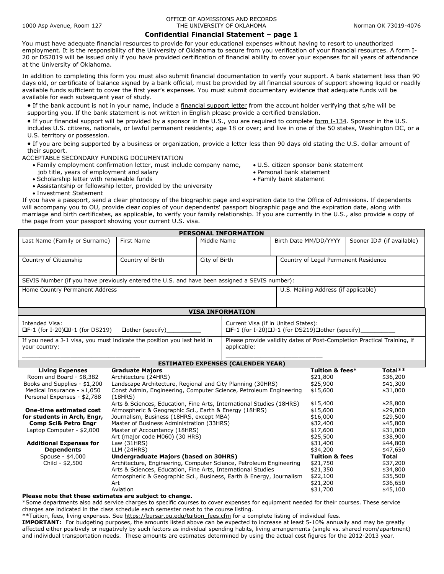### **Confidential Financial Statement – page 1**

You must have adequate financial resources to provide for your educational expenses without having to resort to unauthorized employment. It is the responsibility of the University of Oklahoma to secure from you verification of your financial resources. A form I-20 or DS2019 will be issued only if you have provided certification of financial ability to cover your expenses for all years of attendance at the University of Oklahoma.

In addition to completing this form you must also submit financial documentation to verify your support. A bank statement less than 90 days old, or certificate of balance signed by a bank official, must be provided by all financial sources of support showing liquid or readily available funds sufficient to cover the first year's expenses. You must submit documentary evidence that adequate funds will be available for each subsequent year of study.

• If the bank account is not in your name, include a [financial support letter](http://catalog.ou.edu/Applications/Admissions/FSL.pdf) from the account holder verifying that s/he will be supporting you. If the bank statement is not written in English please provide a certified translation.

• If your financial support will be provided by a sponsor in the U.S., you are required to complete [form I-134.](http://www.uscis.gov/files/form/i-134.pdf) Sponsor in the U.S. includes U.S. citizens, nationals, or lawful permanent residents; age 18 or over; and live in one of the 50 states, Washington DC, or a U.S. territory or possession.

• If you are being supported by a business or organization, provide a letter less than 90 days old stating the U.S. dollar amount of their support.

#### ACCEPTABLE SECONDARY FUNDING DOCUMENTATION

- Family employment confirmation letter, must include company name,
	- job title, years of employment and salary
- Scholarship letter with renewable funds
- U.S. citizen sponsor bank statement
- Personal bank statement
- Family bank statement
- Assistantship or fellowship letter, provided by the university • Investment Statement

If you have a passport, send a clear photocopy of the biographic page and expiration date to the Office of Admissions. If dependents will accompany you to OU, provide clear copies of your dependents' passport biographic page and the expiration date, along with marriage and birth certificates, as applicable, to verify your family relationship. If you are currently in the U.S., also provide a copy of the page from your passport showing your current U.S. visa.

|                                                                                                                                                                                              |                                                                                                                                                                                                                                                                                                      |             | <b>PERSONAL INFORMATION</b>               |                                                                      |                                                                                       |                                                                          |
|----------------------------------------------------------------------------------------------------------------------------------------------------------------------------------------------|------------------------------------------------------------------------------------------------------------------------------------------------------------------------------------------------------------------------------------------------------------------------------------------------------|-------------|-------------------------------------------|----------------------------------------------------------------------|---------------------------------------------------------------------------------------|--------------------------------------------------------------------------|
| Last Name (Family or Surname)                                                                                                                                                                | First Name                                                                                                                                                                                                                                                                                           | Middle Name |                                           |                                                                      | Birth Date MM/DD/YYYY                                                                 | Sooner ID# (if available)                                                |
| Country of Birth<br>City of Birth<br>Country of Citizenship                                                                                                                                  |                                                                                                                                                                                                                                                                                                      |             |                                           | Country of Legal Permanent Residence                                 |                                                                                       |                                                                          |
| SEVIS Number (if you have previously entered the U.S. and have been assigned a SEVIS number):                                                                                                |                                                                                                                                                                                                                                                                                                      |             |                                           |                                                                      |                                                                                       |                                                                          |
| Home Country Permanent Address                                                                                                                                                               |                                                                                                                                                                                                                                                                                                      |             |                                           | U.S. Mailing Address (if applicable)                                 |                                                                                       |                                                                          |
|                                                                                                                                                                                              |                                                                                                                                                                                                                                                                                                      |             | <b>VISA INFORMATION</b>                   |                                                                      |                                                                                       |                                                                          |
| Intended Visa:<br>Current Visa (if in United States):<br>Dother (specify)<br>□F-1 (for I-20)□J-1 (for DS219)□other (specify)<br>$\blacksquare$ F-1 (for I-20) $\blacksquare$ J-1 (for DS219) |                                                                                                                                                                                                                                                                                                      |             |                                           |                                                                      |                                                                                       |                                                                          |
| If you need a J-1 visa, you must indicate the position you last held in<br>Please provide validity dates of Post-Completion Practical Training, if<br>applicable:<br>your country:           |                                                                                                                                                                                                                                                                                                      |             |                                           |                                                                      |                                                                                       |                                                                          |
|                                                                                                                                                                                              |                                                                                                                                                                                                                                                                                                      |             | <b>ESTIMATED EXPENSES (CALENDER YEAR)</b> |                                                                      |                                                                                       |                                                                          |
| <b>Living Expenses</b><br>Room and Board - \$8,382<br>Books and Supplies - \$1,200<br>Medical Insurance - \$1,050<br>Personal Expenses - \$2,788                                             | <b>Graduate Majors</b><br>Architecture (24HRS)<br>Landscape Architecture, Regional and City Planning (30HRS)<br>Const Admin, Engineering, Computer Science, Petroleum Engineering                                                                                                                    |             |                                           |                                                                      | Tuition & fees*<br>\$21,800<br>\$25,900<br>\$15,600                                   | Total**<br>\$36,200<br>\$41,300<br>\$31,000                              |
| <b>One-time estimated cost</b><br>for students in Arch, Engr,<br><b>Comp Sci&amp; Petro Engr</b><br>Laptop Computer - \$2,000                                                                | (18HRS)<br>Arts & Sciences, Education, Fine Arts, International Studies (18HRS)<br>Atmospheric & Geographic Sci., Earth & Energy (18HRS)<br>Journalism, Business (18HRS, except MBA)<br>Master of Business Administration (33HRS)<br>Master of Accountancy (18HRS)<br>Art (major code M060) (30 HRS) |             |                                           | \$15,400<br>\$15,600<br>\$16,000<br>\$32,400<br>\$17,600<br>\$25,500 | \$28,800<br>\$29,000<br>\$29,500<br>\$45,800<br>\$31,000<br>\$38,900                  |                                                                          |
| <b>Additional Expenses for</b><br><b>Dependents</b><br>Spouse - \$4,000<br>Child - \$2,500                                                                                                   | Law $(31HRS)$<br>LLM (24HRS)<br>Undergraduate Majors (based on 30HRS)<br>Architecture, Engineering, Computer Science, Petroleum Engineering<br>Arts & Sciences, Education, Fine Arts, International Studies<br>Atmospheric & Geographic Sci., Business, Earth & Energy, Journalism                   |             |                                           |                                                                      | \$31,400<br>\$34,200<br><b>Tuition &amp; fees</b><br>\$21,750<br>\$21,350<br>\$22,100 | \$44,800<br>\$47,650<br><b>Total</b><br>\$37,200<br>\$34,800<br>\$35,500 |
|                                                                                                                                                                                              | Art<br>Aviation                                                                                                                                                                                                                                                                                      |             |                                           |                                                                      | \$21,200<br>\$31,700                                                                  | \$36,650<br>\$45,100                                                     |

**Please note that these estimates are subject to change.** 

\*Some departments also add service charges to specific courses to cover expenses for equipment needed for their courses. These service charges are indicated in the class schedule each semester next to the course listing.

\*\*Tuition, fees, living expenses. See [https://bursar.ou.edu/tuition\\_fees.cfm](https://bursar.ou.edu/tuition_fees.cfm) for a complete listing of individual fees.

**IMPORTANT:** For budgeting purposes, the amounts listed above can be expected to increase at least 5-10% annually and may be greatly affected either positively or negatively by such factors as individual spending habits, living arrangements (single vs. shared room/apartment) and individual transportation needs. These amounts are estimates determined by using the actual cost figures for the 2012-2013 year.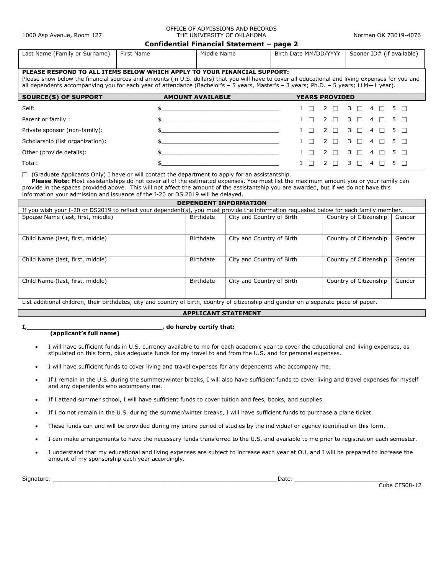### OFFICE OF ADMISSIONS AND RECORDS THE UNIVERSITY OF OKLAHOMA Norman OK 73019-4076

#### **Confidential Financial Statement – page 2**

|                                                                          |            | .           |                       |                           |
|--------------------------------------------------------------------------|------------|-------------|-----------------------|---------------------------|
| Last Name (Family or Surname)                                            | First Name | Middle Name | Birth Date MM/DD/YYYY | Sooner ID# (if available) |
|                                                                          |            |             |                       |                           |
| PLEASE RESPOND TO ALL ITEMS BELOW WHICH APPLY TO YOUR FINANCIAL SUPPORT: |            |             |                       |                           |

Please show below the financial sources and amounts (in U.S. dollars) that you will have to cover all educational and living expenses for you and all dependents accompanying you for each year of attendance (Bachelor's – 5 years, Master's – 3 years; Ph.D. – 5 years; LLM—1 year).

| <b>SOURCE(S) OF SUPPORT</b>      | <b>AMOUNT AVAILABLE</b> | <b>YEARS PROVIDED</b>               |
|----------------------------------|-------------------------|-------------------------------------|
| Self:                            | $\sharp$                | $2 \cap 3 \cap 4 \cap$<br>5 O       |
| Parent or family:                |                         | $2 \cap 3 \cap 4 \cap$<br>5 O<br>┱  |
| Private sponsor (non-family):    |                         | <sup>2</sup>                        |
| Scholarship (list organization): |                         | $2 \cap 3 \cap 4 \cap 5 \cap$       |
| Other (provide details):         |                         | $2 \cap 3 \cap 4 \cap$<br>5 O<br>n. |
| Total:                           |                         | 4                                   |

 $\Box$  (Graduate Applicants Only) I have or will contact the department to apply for an assistantship.

 **Please Note:** Most assistantships do not cover all of the estimated expenses. You must list the maximum amount you or your family can provide in the spaces provided above. This will not affect the amount of the assistantship you are awarded, but if we do not have this information your admission and issuance of the I-20 or DS 2019 will be delayed.

|                                                                                                                                        |           | <b>DEPENDENT INFORMATION</b> |                        |        |  |  |  |  |
|----------------------------------------------------------------------------------------------------------------------------------------|-----------|------------------------------|------------------------|--------|--|--|--|--|
| If you wish your I-20 or DS2019 to reflect your dependent(s), you must provide the information requested below for each family member. |           |                              |                        |        |  |  |  |  |
| Spouse Name (last, first, middle)                                                                                                      | Birthdate | City and Country of Birth    | Country of Citizenship | Gender |  |  |  |  |
|                                                                                                                                        |           |                              |                        |        |  |  |  |  |
| Child Name (last, first, middle)                                                                                                       | Birthdate | City and Country of Birth    | Country of Citizenship | Gender |  |  |  |  |
|                                                                                                                                        |           |                              |                        |        |  |  |  |  |
| Child Name (last, first, middle)                                                                                                       | Birthdate | City and Country of Birth    | Country of Citizenship | Gender |  |  |  |  |
|                                                                                                                                        |           |                              |                        |        |  |  |  |  |
| Child Name (last, first, middle)                                                                                                       | Birthdate | City and Country of Birth    | Country of Citizenship | Gender |  |  |  |  |
|                                                                                                                                        |           |                              |                        |        |  |  |  |  |
| List additional children, their birthdates, city and country of birth, country of citizenship and gender on a senarate piece of paper  |           |                              |                        |        |  |  |  |  |

### List additional children, their birthdates, city and country of birth, country of citizenship and gender on a separate piece of paper.

### **APPLICANT STATEMENT**

**I,\_\_\_\_\_\_\_\_\_\_\_\_\_\_\_\_\_\_\_\_\_\_\_\_\_\_\_\_\_\_\_\_\_\_\_, do hereby certify that:**

### **(applicant's full name)**

- I will have sufficient funds in U.S. currency available to me for each academic year to cover the educational and living expenses, as stipulated on this form, plus adequate funds for my travel to and from the U.S. and for personal expenses.
- I will have sufficient funds to cover living and travel expenses for any dependents who accompany me.
- If I remain in the U.S. during the summer/winter breaks, I will also have sufficient funds to cover living and travel expenses for myself and any dependents who accompany me.
- If I attend summer school, I will have sufficient funds to cover tuition and fees, books, and supplies.
- If I do not remain in the U.S. during the summer/winter breaks, I will have sufficient funds to purchase a plane ticket.
- These funds can and will be provided during my entire period of studies by the individual or agency identified on this form.
- I can make arrangements to have the necessary funds transferred to the U.S. and available to me prior to registration each semester.
- I understand that my educational and living expenses are subject to increase each year at OU, and I will be prepared to increase the amount of my sponsorship each year accordingly.

Signature: \_\_\_\_\_\_\_\_\_\_\_\_\_\_\_\_\_\_\_\_\_\_\_\_\_\_\_\_\_\_\_\_\_\_\_\_\_\_\_\_\_\_\_\_\_\_\_\_\_\_\_\_\_\_\_\_\_\_\_\_\_\_\_\_\_Date: \_\_\_\_\_\_\_\_\_\_\_\_\_\_\_\_\_\_\_\_\_\_\_\_\_\_\_

Cube CFS08-12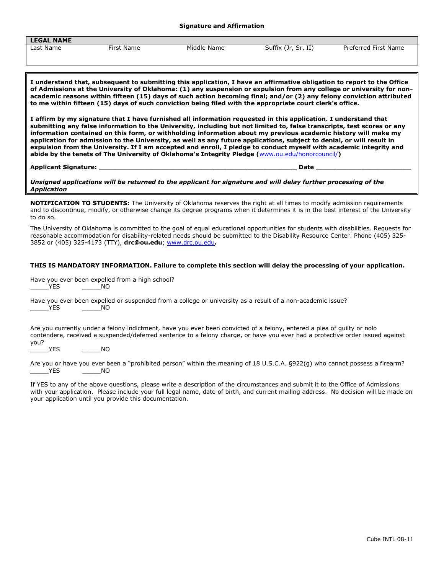#### **Signature and Affirmation**

| <b>LEGAL NAME</b> |                                                                                                                                                                                                                                                          |             |                     |                      |  |  |  |
|-------------------|----------------------------------------------------------------------------------------------------------------------------------------------------------------------------------------------------------------------------------------------------------|-------------|---------------------|----------------------|--|--|--|
| Last Name         | First Name                                                                                                                                                                                                                                               | Middle Name | Suffix (Jr, Sr, II) | Preferred First Name |  |  |  |
|                   |                                                                                                                                                                                                                                                          |             |                     |                      |  |  |  |
|                   |                                                                                                                                                                                                                                                          |             |                     |                      |  |  |  |
|                   |                                                                                                                                                                                                                                                          |             |                     |                      |  |  |  |
|                   | $\parallel$ I understand that, subsequent to submitting this application, I have an affirmative obligation to report to the Office<br>. A Admiration of the Holmester of Abbiletiene (4) and concerted on condition from and college countriestic former |             |                     |                      |  |  |  |

**of Admissions at the University of Oklahoma: (1) any suspension or expulsion from any college or university for nonacademic reasons within fifteen (15) days of such action becoming final; and/or (2) any felony conviction attributed to me within fifteen (15) days of such conviction being filed with the appropriate court clerk's office.**

**I affirm by my signature that I have furnished all information requested in this application. I understand that submitting any false information to the University, including but not limited to, false transcripts, test scores or any information contained on this form, or withholding information about my previous academic history will make my application for admission to the University, as well as any future applications, subject to denial, or will result in expulsion from the University. If I am accepted and enroll, I pledge to conduct myself with academic integrity and abide by the tenets of The University of Oklahoma's Integrity Pledge (**[www.ou.edu/honorcouncil/](http://www.ou.edu/honorcouncil/)**)**

**Applicant Signature: \_\_\_\_\_\_\_\_\_\_\_\_\_\_\_\_\_\_\_\_\_\_\_\_\_\_\_\_\_\_\_\_\_\_\_\_\_\_\_\_\_\_\_\_\_\_\_\_ Date \_\_\_\_\_\_\_\_\_\_\_\_\_\_\_\_\_\_\_\_\_\_\_**

*Unsigned applications will be returned to the applicant for signature and will delay further processing of the Application*

**NOTIFICATION TO STUDENTS:** The University of Oklahoma reserves the right at all times to modify admission requirements and to discontinue, modify, or otherwise change its degree programs when it determines it is in the best interest of the University to do so.

The University of Oklahoma is committed to the goal of equal educational opportunities for students with disabilities. Requests for reasonable accommodation for disability-related needs should be submitted to the Disability Resource Center. Phone (405) 325- 3852 or (405) 325-4173 (TTY), **drc@ou.edu**; [www.drc.ou.edu](http://www.drc.ou.edu/)**.**

### **THIS IS MANDATORY INFORMATION. Failure to complete this section will delay the processing of your application.**

Have you ever been expelled from a high school? \_\_\_\_\_YES \_\_\_\_\_NO

|             |     |  |  | Have you ever been expelled or suspended from a college or university as a result of a non-academic issue? |
|-------------|-----|--|--|------------------------------------------------------------------------------------------------------------|
| ________YES | NO. |  |  |                                                                                                            |

Are you currently under a felony indictment, have you ever been convicted of a felony, entered a plea of guilty or nolo contendere, received a suspended/deferred sentence to a felony charge, or have you ever had a protective order issued against you?

YES NO

Are you or have you ever been a "prohibited person" within the meaning of 18 U.S.C.A. §922(g) who cannot possess a firearm? \_\_\_\_\_YES \_\_\_\_\_NO

If YES to any of the above questions, please write a description of the circumstances and submit it to the Office of Admissions with your application. Please include your full legal name, date of birth, and current mailing address. No decision will be made on your application until you provide this documentation.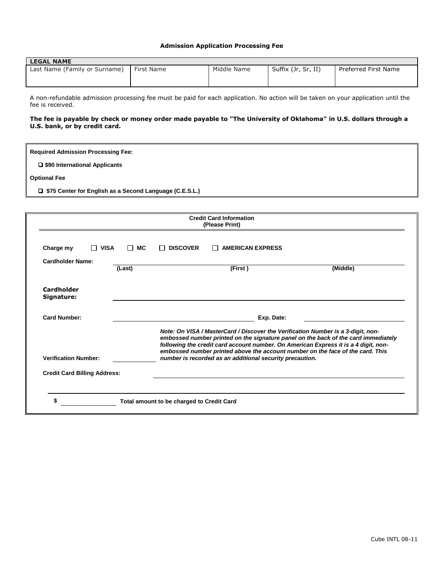### **Admission Application Processing Fee**

| <b>LEGAL NAME</b>             |            |             |                     |                      |  |  |
|-------------------------------|------------|-------------|---------------------|----------------------|--|--|
| Last Name (Family or Surname) | First Name | Middle Name | Suffix (Jr, Sr, II) | Preferred First Name |  |  |

A non-refundable admission processing fee must be paid for each application. No action will be taken on your application until the fee is received.

### **The fee is payable by check or money order made payable to "The University of Oklahoma" in U.S. dollars through a U.S. bank, or by credit card.**

| <b>Required Admission Processing Fee:</b>                 |
|-----------------------------------------------------------|
| □ \$90 International Applicants                           |
| <b>Optional Fee</b>                                       |
| □ \$75 Center for English as a Second Language (C.E.S.L.) |
|                                                           |
| <b>Credit Card Information</b><br>(Please Print)          |

| <b>Cardholder Name:</b>             | (Last) |            | (First)                                                                                                                                                                                                                                                   | (Middle)                                                                           |  |  |
|-------------------------------------|--------|------------|-----------------------------------------------------------------------------------------------------------------------------------------------------------------------------------------------------------------------------------------------------------|------------------------------------------------------------------------------------|--|--|
| Cardholder<br>Signature:            |        |            |                                                                                                                                                                                                                                                           |                                                                                    |  |  |
| <b>Card Number:</b>                 |        | Exp. Date: |                                                                                                                                                                                                                                                           |                                                                                    |  |  |
|                                     |        |            | Note: On VISA / MasterCard / Discover the Verification Number is a 3-digit, non-<br>following the credit card account number. On American Express it is a 4 digit, non-<br>embossed number printed above the account number on the face of the card. This | embossed number printed on the signature panel on the back of the card immediately |  |  |
| <b>Verification Number:</b>         |        |            | number is recorded as an additional security precaution.                                                                                                                                                                                                  |                                                                                    |  |  |
| <b>Credit Card Billing Address:</b> |        |            |                                                                                                                                                                                                                                                           |                                                                                    |  |  |
|                                     |        |            |                                                                                                                                                                                                                                                           |                                                                                    |  |  |